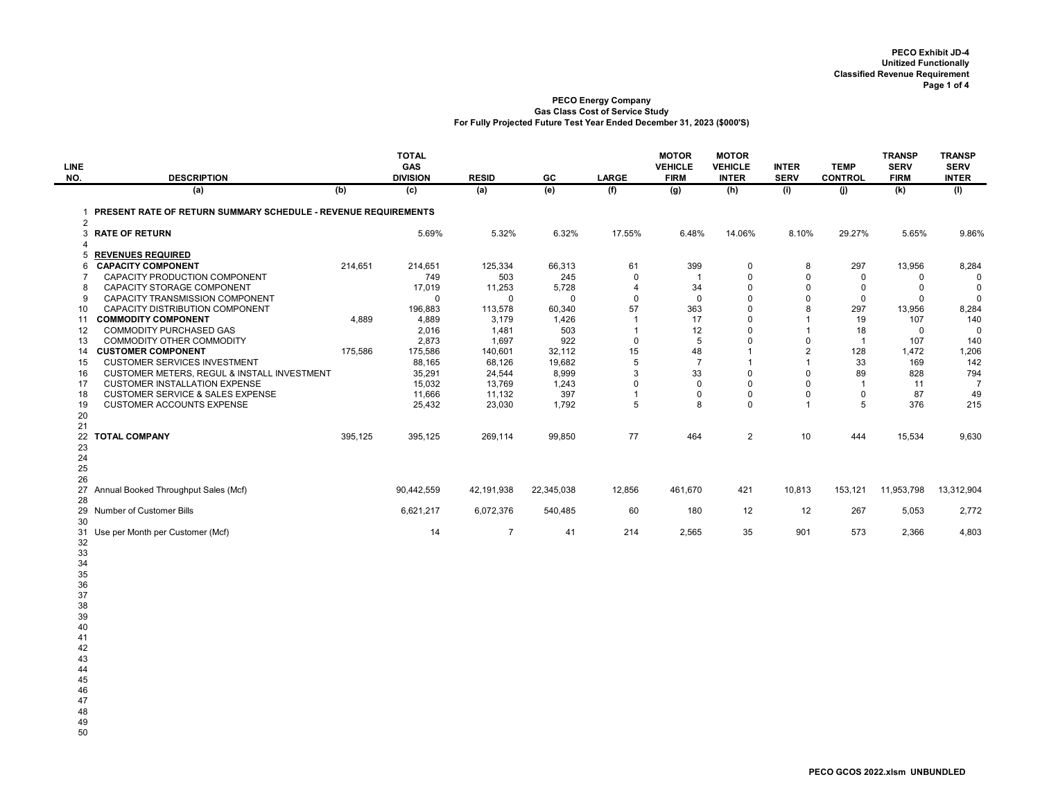| <b>LINE</b><br>NO. | <b>DESCRIPTION</b>                                               |         | <b>TOTAL</b><br>GAS<br><b>DIVISION</b> | <b>RESID</b>     | GC              | <b>LARGE</b>         | <b>MOTOR</b><br><b>VEHICLE</b><br><b>FIRM</b> | <b>MOTOR</b><br><b>VEHICLE</b><br><b>INTER</b> | <b>INTER</b><br><b>SERV</b> | <b>TEMP</b><br><b>CONTROL</b> | <b>TRANSP</b><br><b>SERV</b><br><b>FIRM</b> | <b>TRANSP</b><br><b>SERV</b><br><b>INTER</b> |
|--------------------|------------------------------------------------------------------|---------|----------------------------------------|------------------|-----------------|----------------------|-----------------------------------------------|------------------------------------------------|-----------------------------|-------------------------------|---------------------------------------------|----------------------------------------------|
|                    | (a)                                                              | (b)     | (c)                                    | (a)              | (e)             | (f)                  | (g)                                           | (h)                                            | (i)                         | (i)                           | (k)                                         | (1)                                          |
|                    |                                                                  |         |                                        |                  |                 |                      |                                               |                                                |                             |                               |                                             |                                              |
| 2                  | 1 PRESENT RATE OF RETURN SUMMARY SCHEDULE - REVENUE REQUIREMENTS |         |                                        |                  |                 |                      |                                               |                                                |                             |                               |                                             |                                              |
| $\overline{4}$     | 3 RATE OF RETURN                                                 |         | 5.69%                                  | 5.32%            | 6.32%           | 17.55%               | 6.48%                                         | 14.06%                                         | 8.10%                       | 29.27%                        | 5.65%                                       | 9.86%                                        |
| 5                  | <b>REVENUES REQUIRED</b>                                         |         |                                        |                  |                 |                      |                                               |                                                |                             |                               |                                             |                                              |
| 6                  | <b>CAPACITY COMPONENT</b>                                        | 214,651 | 214,651                                | 125,334          | 66,313          | 61                   | 399                                           | $\mathbf 0$                                    | 8                           | 297                           | 13,956                                      | 8,284                                        |
| $\overline{7}$     | CAPACITY PRODUCTION COMPONENT                                    |         | 749                                    | 503              | 245             | $\mathbf 0$          | $\overline{1}$                                | $\mathbf 0$                                    | $\mathbf 0$                 | $\mathbf 0$                   | $\mathsf 0$                                 | $\Omega$                                     |
| 8                  | CAPACITY STORAGE COMPONENT                                       |         | 17,019                                 | 11,253           | 5,728           | $\overline{4}$       | 34                                            | 0                                              | $\mathbf 0$                 | $\mathbf 0$                   | 0                                           | $\mathbf 0$                                  |
| 9                  | <b>CAPACITY TRANSMISSION COMPONENT</b>                           |         | $\Omega$                               | $\Omega$         | $\Omega$        | $\mathbf 0$          | $\mathbf{0}$                                  | $\mathbf 0$                                    | $\Omega$                    | $\mathbf 0$                   | $\mathbf 0$                                 | $\Omega$                                     |
| 10<br>11           | CAPACITY DISTRIBUTION COMPONENT<br><b>COMMODITY COMPONENT</b>    | 4,889   | 196,883<br>4,889                       | 113,578<br>3,179 | 60,340<br>1,426 | 57<br>$\overline{1}$ | 363<br>17                                     | $\mathbf 0$<br>0                               | 8<br>$\overline{1}$         | 297<br>19                     | 13,956<br>107                               | 8,284<br>140                                 |
| 12                 | <b>COMMODITY PURCHASED GAS</b>                                   |         | 2,016                                  | 1,481            | 503             | $\overline{1}$       | 12                                            | $\Omega$                                       | $\overline{1}$              | 18                            | $\mathbf 0$                                 | $\mathbf 0$                                  |
| 13                 | COMMODITY OTHER COMMODITY                                        |         | 2,873                                  | 1,697            | 922             | $\mathbf 0$          | 5                                             | $\mathbf 0$                                    | $\mathbf 0$                 | $\overline{1}$                | 107                                         | 140                                          |
| 14                 | <b>CUSTOMER COMPONENT</b>                                        | 175,586 | 175,586                                | 140,601          | 32,112          | 15                   | 48                                            | -1                                             | 2                           | 128                           | 1,472                                       | 1,206                                        |
| 15                 | <b>CUSTOMER SERVICES INVESTMENT</b>                              |         | 88,165                                 | 68,126           | 19,682          | $\sqrt{5}$           | $\overline{7}$                                | $\overline{1}$                                 | $\overline{1}$              | 33                            | 169                                         | 142                                          |
| 16                 | CUSTOMER METERS, REGUL & INSTALL INVESTMENT                      |         | 35,291                                 | 24,544           | 8,999           | 3                    | 33                                            | 0                                              | $\mathbf 0$                 | 89                            | 828                                         | 794                                          |
| 17                 | <b>CUSTOMER INSTALLATION EXPENSE</b>                             |         | 15,032                                 | 13,769           | 1,243           | $\mathbf 0$          | $\mathbf 0$                                   | $\Omega$                                       | $\mathbf 0$                 | $\overline{1}$                | 11                                          | $\overline{7}$                               |
| 18                 | <b>CUSTOMER SERVICE &amp; SALES EXPENSE</b>                      |         | 11,666                                 | 11,132           | 397             | $\overline{1}$       | $\mathbf 0$                                   | 0                                              | $\mathbf 0$                 | $\mathsf 0$                   | 87                                          | 49                                           |
| 19                 | <b>CUSTOMER ACCOUNTS EXPENSE</b>                                 |         | 25,432                                 | 23,030           | 1,792           | 5                    | 8                                             | $\Omega$                                       | $\overline{1}$              | 5                             | 376                                         | 215                                          |
| 20                 |                                                                  |         |                                        |                  |                 |                      |                                               |                                                |                             |                               |                                             |                                              |
| 21                 | 22 TOTAL COMPANY                                                 | 395,125 | 395,125                                | 269,114          | 99,850          | 77                   | 464                                           | 2                                              | 10                          | 444                           | 15,534                                      | 9,630                                        |
| 23                 |                                                                  |         |                                        |                  |                 |                      |                                               |                                                |                             |                               |                                             |                                              |
| 24                 |                                                                  |         |                                        |                  |                 |                      |                                               |                                                |                             |                               |                                             |                                              |
| 25                 |                                                                  |         |                                        |                  |                 |                      |                                               |                                                |                             |                               |                                             |                                              |
| 26                 |                                                                  |         |                                        |                  |                 |                      |                                               |                                                |                             |                               |                                             |                                              |
| 27                 | Annual Booked Throughput Sales (Mcf)                             |         | 90,442,559                             | 42,191,938       | 22,345,038      | 12,856               | 461,670                                       | 421                                            | 10,813                      | 153,121                       | 11,953,798                                  | 13,312,904                                   |
| 28                 |                                                                  |         |                                        |                  |                 |                      |                                               |                                                |                             |                               |                                             |                                              |
| 30                 | 29 Number of Customer Bills                                      |         | 6,621,217                              | 6,072,376        | 540,485         | 60                   | 180                                           | 12                                             | 12                          | 267                           | 5,053                                       | 2,772                                        |
| 31                 | Use per Month per Customer (Mcf)                                 |         | 14                                     | $\overline{7}$   | 41              | 214                  | 2,565                                         | 35                                             | 901                         | 573                           | 2,366                                       | 4,803                                        |
| 32                 |                                                                  |         |                                        |                  |                 |                      |                                               |                                                |                             |                               |                                             |                                              |
| 33                 |                                                                  |         |                                        |                  |                 |                      |                                               |                                                |                             |                               |                                             |                                              |
| 34                 |                                                                  |         |                                        |                  |                 |                      |                                               |                                                |                             |                               |                                             |                                              |
| 35                 |                                                                  |         |                                        |                  |                 |                      |                                               |                                                |                             |                               |                                             |                                              |
| 36                 |                                                                  |         |                                        |                  |                 |                      |                                               |                                                |                             |                               |                                             |                                              |
| 37                 |                                                                  |         |                                        |                  |                 |                      |                                               |                                                |                             |                               |                                             |                                              |
| 38<br>39           |                                                                  |         |                                        |                  |                 |                      |                                               |                                                |                             |                               |                                             |                                              |
| 40                 |                                                                  |         |                                        |                  |                 |                      |                                               |                                                |                             |                               |                                             |                                              |
| 41                 |                                                                  |         |                                        |                  |                 |                      |                                               |                                                |                             |                               |                                             |                                              |
| 42                 |                                                                  |         |                                        |                  |                 |                      |                                               |                                                |                             |                               |                                             |                                              |
| 43                 |                                                                  |         |                                        |                  |                 |                      |                                               |                                                |                             |                               |                                             |                                              |
| 44                 |                                                                  |         |                                        |                  |                 |                      |                                               |                                                |                             |                               |                                             |                                              |
| 45                 |                                                                  |         |                                        |                  |                 |                      |                                               |                                                |                             |                               |                                             |                                              |
| 46                 |                                                                  |         |                                        |                  |                 |                      |                                               |                                                |                             |                               |                                             |                                              |
| 47                 |                                                                  |         |                                        |                  |                 |                      |                                               |                                                |                             |                               |                                             |                                              |
| 48<br>49           |                                                                  |         |                                        |                  |                 |                      |                                               |                                                |                             |                               |                                             |                                              |
|                    |                                                                  |         |                                        |                  |                 |                      |                                               |                                                |                             |                               |                                             |                                              |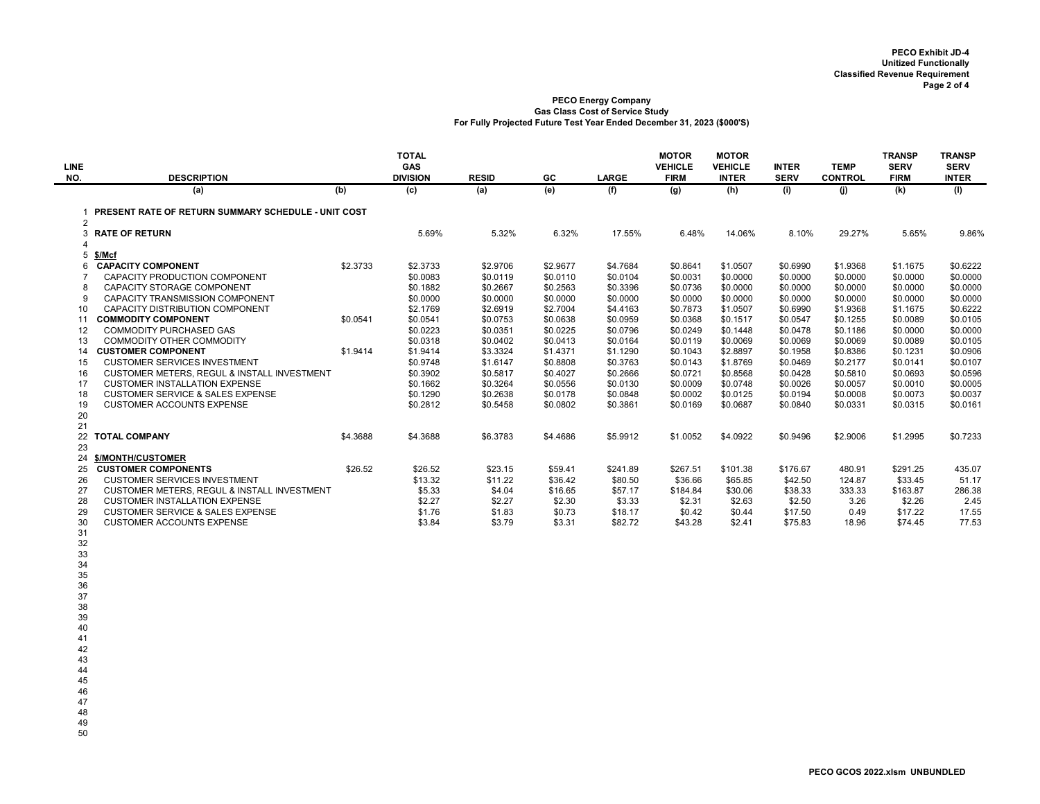| <b>LINE</b>              |                                                            |          | <b>TOTAL</b><br><b>GAS</b> |              |          |              | <b>MOTOR</b><br><b>VEHICLE</b> | <b>MOTOR</b><br><b>VEHICLE</b> | <b>INTER</b> | <b>TEMP</b>    | <b>TRANSP</b><br><b>SERV</b> | <b>TRANSP</b><br><b>SERV</b> |
|--------------------------|------------------------------------------------------------|----------|----------------------------|--------------|----------|--------------|--------------------------------|--------------------------------|--------------|----------------|------------------------------|------------------------------|
| NO.                      | <b>DESCRIPTION</b>                                         |          | <b>DIVISION</b>            | <b>RESID</b> | GC       | <b>LARGE</b> | <b>FIRM</b>                    | <b>INTER</b>                   | <b>SERV</b>  | <b>CONTROL</b> | <b>FIRM</b>                  | <b>INTER</b>                 |
|                          | (a)                                                        | (b)      | (c)                        | (a)          | (e)      | (f)          | (g)                            | (h)                            | (i)          | (i)            | (k)                          | (1)                          |
|                          | <b>PRESENT RATE OF RETURN SUMMARY SCHEDULE - UNIT COST</b> |          |                            |              |          |              |                                |                                |              |                |                              |                              |
| 2                        |                                                            |          |                            |              |          |              |                                |                                |              |                |                              |                              |
| 3                        | <b>RATE OF RETURN</b>                                      |          | 5.69%                      | 5.32%        | 6.32%    | 17.55%       | 6.48%                          | 14.06%                         | 8.10%        | 29.27%         | 5.65%                        | 9.86%                        |
| $\boldsymbol{\varDelta}$ |                                                            |          |                            |              |          |              |                                |                                |              |                |                              |                              |
| 5                        | \$/Mcf                                                     |          |                            |              |          |              |                                |                                |              |                |                              |                              |
|                          | <b>CAPACITY COMPONENT</b>                                  | \$2.3733 | \$2.3733                   | \$2.9706     | \$2.9677 | \$4.7684     | \$0.8641                       | \$1.0507                       | \$0.6990     | \$1.9368       | \$1.1675                     | \$0.6222                     |
| $\overline{7}$           | CAPACITY PRODUCTION COMPONENT                              |          | \$0.0083                   | \$0.0119     | \$0.0110 | \$0.0104     | \$0.0031                       | \$0,0000                       | \$0,0000     | \$0,0000       | \$0,0000                     | \$0.0000                     |
| 8                        | CAPACITY STORAGE COMPONENT                                 |          | \$0.1882                   | \$0.2667     | \$0.2563 | \$0.3396     | \$0.0736                       | \$0.0000                       | \$0.0000     | \$0.0000       | \$0.0000                     | \$0.0000                     |
| 9                        | <b>CAPACITY TRANSMISSION COMPONENT</b>                     |          | \$0.0000                   | \$0.0000     | \$0.0000 | \$0,0000     | \$0.0000                       | \$0,0000                       | \$0.0000     | \$0.0000       | \$0.0000                     | \$0.0000                     |
| 10                       | CAPACITY DISTRIBUTION COMPONENT                            |          | \$2.1769                   | \$2.6919     | \$2.7004 | \$4.4163     | \$0.7873                       | \$1.0507                       | \$0.6990     | \$1.9368       | \$1.1675                     | \$0.6222                     |
| 11                       | <b>COMMODITY COMPONENT</b>                                 | \$0.0541 | \$0.0541                   | \$0.0753     | \$0.0638 | \$0.0959     | \$0.0368                       | \$0.1517                       | \$0.0547     | \$0.1255       | \$0.0089                     | \$0.0105                     |
| 12                       | <b>COMMODITY PURCHASED GAS</b>                             |          | \$0.0223                   | \$0.0351     | \$0.0225 | \$0.0796     | \$0.0249                       | \$0.1448                       | \$0.0478     | \$0.1186       | \$0.0000                     | \$0.0000                     |
| 13                       | COMMODITY OTHER COMMODITY                                  |          | \$0.0318                   | \$0.0402     | \$0.0413 | \$0.0164     | \$0.0119                       | \$0.0069                       | \$0.0069     | \$0,0069       | \$0,0089                     | \$0.0105                     |
| 14                       | <b>CUSTOMER COMPONENT</b>                                  | \$1.9414 | \$1.9414                   | \$3.3324     | \$1.4371 | \$1.1290     | \$0.1043                       | \$2.8897                       | \$0.1958     | \$0.8386       | \$0.1231                     | \$0.0906                     |
| 15                       | <b>CUSTOMER SERVICES INVESTMENT</b>                        |          | \$0.9748                   | \$1.6147     | \$0.8808 | \$0.3763     | \$0.0143                       | \$1,8769                       | \$0.0469     | \$0.2177       | \$0.0141                     | \$0.0107                     |
| 16                       | <b>CUSTOMER METERS, REGUL &amp; INSTALL INVESTMENT</b>     |          | \$0.3902                   | \$0.5817     | \$0.4027 | \$0.2666     | \$0.0721                       | \$0.8568                       | \$0.0428     | \$0.5810       | \$0.0693                     | \$0.0596                     |
| 17                       | <b>CUSTOMER INSTALLATION EXPENSE</b>                       |          | \$0.1662                   | \$0.3264     | \$0.0556 | \$0.0130     | \$0.0009                       | \$0.0748                       | \$0.0026     | \$0.0057       | \$0.0010                     | \$0.0005                     |
| 18                       | <b>CUSTOMER SERVICE &amp; SALES EXPENSE</b>                |          | \$0.1290                   | \$0.2638     | \$0.0178 | \$0.0848     | \$0.0002                       | \$0.0125                       | \$0.0194     | \$0,0008       | \$0.0073                     | \$0.0037                     |
| 19                       | <b>CUSTOMER ACCOUNTS EXPENSE</b>                           |          | \$0.2812                   | \$0.5458     | \$0.0802 | \$0.3861     | \$0.0169                       | \$0.0687                       | \$0.0840     | \$0.0331       | \$0.0315                     | \$0.0161                     |
| 20                       |                                                            |          |                            |              |          |              |                                |                                |              |                |                              |                              |
| 21                       |                                                            |          |                            |              |          |              |                                |                                |              |                |                              |                              |
| 22                       | <b>TOTAL COMPANY</b>                                       | \$4.3688 | \$4.3688                   | \$6.3783     | \$4.4686 | \$5.9912     | \$1.0052                       | \$4.0922                       | \$0.9496     | \$2.9006       | \$1.2995                     | \$0.7233                     |
| 23                       |                                                            |          |                            |              |          |              |                                |                                |              |                |                              |                              |
| 24                       | \$/MONTH/CUSTOMER                                          |          |                            |              |          |              |                                |                                |              |                |                              |                              |
| 25                       | <b>CUSTOMER COMPONENTS</b>                                 | \$26.52  | \$26.52                    | \$23.15      | \$59.41  | \$241.89     | \$267.51                       | \$101.38                       | \$176.67     | 480.91         | \$291.25                     | 435.07                       |
| 26                       | <b>CUSTOMER SERVICES INVESTMENT</b>                        |          | \$13.32                    | \$11.22      | \$36.42  | \$80.50      | \$36.66                        | \$65.85                        | \$42.50      | 124.87         | \$33.45                      | 51.17                        |
| 27                       | CUSTOMER METERS, REGUL & INSTALL INVESTMENT                |          | \$5.33                     | \$4.04       | \$16.65  | \$57.17      | \$184.84                       | \$30.06                        | \$38.33      | 333.33         | \$163.87                     | 286.38                       |
| 28                       | <b>CUSTOMER INSTALLATION EXPENSE</b>                       |          | \$2.27                     | \$2.27       | \$2.30   | \$3.33       | \$2.31                         | \$2.63                         | \$2.50       | 3.26           | \$2.26                       | 2.45                         |
| 29                       | <b>CUSTOMER SERVICE &amp; SALES EXPENSE</b>                |          | \$1.76                     | \$1.83       | \$0.73   | \$18.17      | \$0.42                         | \$0.44                         | \$17.50      | 0.49           | \$17.22                      | 17.55                        |
| 30                       | <b>CUSTOMER ACCOUNTS EXPENSE</b>                           |          | \$3.84                     | \$3.79       | \$3.31   | \$82.72      | \$43.28                        | \$2.41                         | \$75.83      | 18.96          | \$74.45                      | 77.53                        |
| 31                       |                                                            |          |                            |              |          |              |                                |                                |              |                |                              |                              |
| 32                       |                                                            |          |                            |              |          |              |                                |                                |              |                |                              |                              |
| 33                       |                                                            |          |                            |              |          |              |                                |                                |              |                |                              |                              |
| 34                       |                                                            |          |                            |              |          |              |                                |                                |              |                |                              |                              |
| 35                       |                                                            |          |                            |              |          |              |                                |                                |              |                |                              |                              |

36 37

38 39

40

41 42

43

44

45

46

 $47$ 

48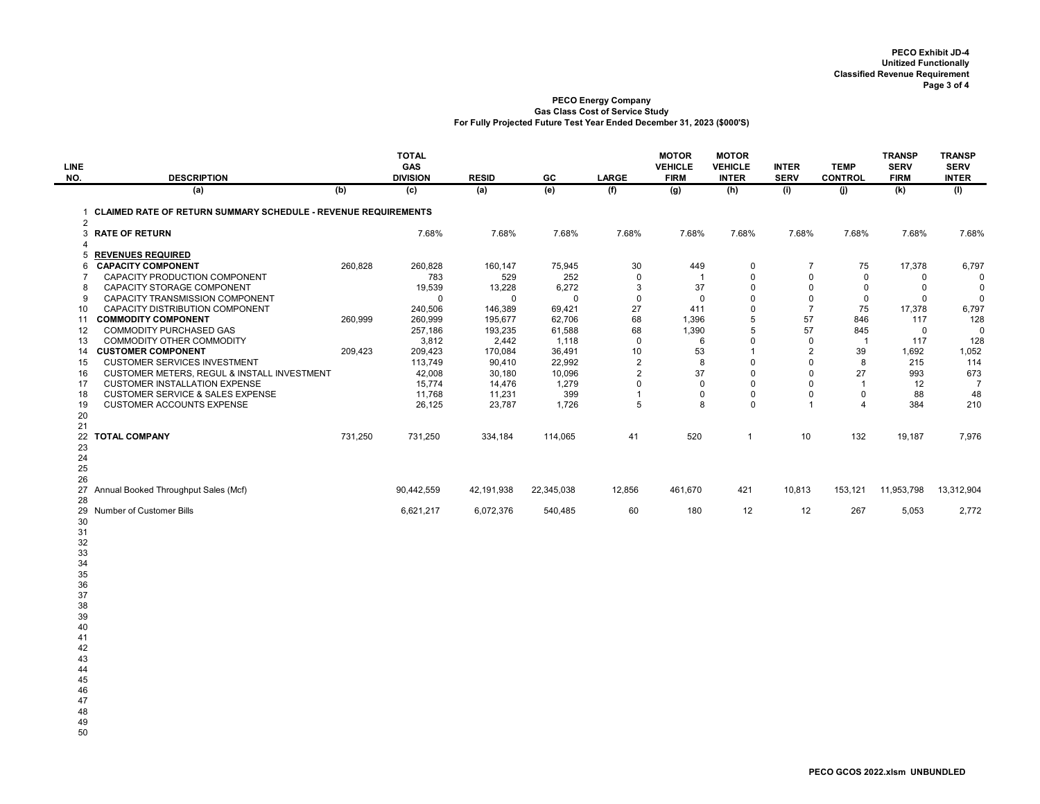| <b>LINE</b>                 |                                                                            |         | <b>TOTAL</b><br>GAS |                    |                       |                   | <b>MOTOR</b><br><b>VEHICLE</b> | <b>MOTOR</b><br><b>VEHICLE</b> | <b>INTER</b>                  | <b>TEMP</b>       | <b>TRANSP</b><br><b>SERV</b> | <b>TRANSP</b><br><b>SERV</b> |
|-----------------------------|----------------------------------------------------------------------------|---------|---------------------|--------------------|-----------------------|-------------------|--------------------------------|--------------------------------|-------------------------------|-------------------|------------------------------|------------------------------|
| NO.                         | <b>DESCRIPTION</b>                                                         |         | <b>DIVISION</b>     | <b>RESID</b>       | GC                    | <b>LARGE</b>      | <b>FIRM</b>                    | <b>INTER</b>                   | <b>SERV</b>                   | <b>CONTROL</b>    | <b>FIRM</b>                  | <b>INTER</b>                 |
|                             | (a)                                                                        | (b)     | (c)                 | (a)                | (e)                   | (f)               | (g)                            | (h)                            | (i)                           | (i)               | (k)                          | (1)                          |
| $\mathbf 1$                 | <b>CLAIMED RATE OF RETURN SUMMARY SCHEDULE - REVENUE REQUIREMENTS</b><br>2 |         |                     |                    |                       |                   |                                |                                |                               |                   |                              |                              |
| 3<br>$\boldsymbol{\Lambda}$ | <b>RATE OF RETURN</b>                                                      |         | 7.68%               | 7.68%              | 7.68%                 | 7.68%             | 7.68%                          | 7.68%                          | 7.68%                         | 7.68%             | 7.68%                        | 7.68%                        |
| 5                           | <b>REVENUES REQUIRED</b>                                                   |         |                     |                    |                       |                   |                                |                                |                               |                   |                              |                              |
| 6                           | <b>CAPACITY COMPONENT</b>                                                  | 260,828 | 260,828             | 160,147            | 75,945                | 30                | 449                            | 0                              | $\overline{7}$                | 75                | 17,378                       | 6,797                        |
| $\overline{7}$              | CAPACITY PRODUCTION COMPONENT                                              |         | 783                 | 529                | 252                   | $\mathbf{0}$      | $\overline{1}$                 | $\mathbf 0$                    | $\mathsf 0$                   | 0                 | $\mathbf 0$                  | $\Omega$                     |
| 8                           | <b>CAPACITY STORAGE COMPONENT</b>                                          |         | 19,539              | 13,228             | 6,272                 | 3                 | 37                             | $\mathbf 0$                    | $\mathbf 0$                   | $\mathbf 0$       | $\mathbf 0$                  | $\mathbf 0$                  |
| 9<br>10 <sup>°</sup>        | <b>CAPACITY TRANSMISSION COMPONENT</b><br>CAPACITY DISTRIBUTION COMPONENT  |         | $\mathbf{0}$        | $\mathbf 0$        | $\mathbf 0$<br>69,421 | $\mathbf 0$<br>27 | $\mathbf 0$<br>411             | $\mathbf 0$<br>$\mathbf 0$     | $\mathsf 0$<br>$\overline{7}$ | $\mathbf 0$<br>75 | $\mathbf 0$                  | $\mathbf 0$                  |
|                             | 11 COMMODITY COMPONENT                                                     | 260,999 | 240,506<br>260,999  | 146,389<br>195,677 | 62,706                | 68                | 1,396                          | 5                              | 57                            | 846               | 17,378<br>117                | 6,797<br>128                 |
| 12                          | <b>COMMODITY PURCHASED GAS</b>                                             |         | 257,186             | 193,235            | 61,588                | 68                | 1,390                          | 5                              | 57                            | 845               | 0                            | $\mathbf 0$                  |
| 13                          | COMMODITY OTHER COMMODITY                                                  |         | 3,812               | 2,442              | 1,118                 | $\mathbf 0$       | 6                              | $\mathbf 0$                    | $\mathbf 0$                   | $\overline{1}$    | 117                          | 128                          |
|                             | 14 CUSTOMER COMPONENT                                                      | 209,423 | 209,423             | 170,084            | 36,491                | 10                | 53                             | $\overline{1}$                 | 2                             | 39                | 1,692                        | 1,052                        |
| 15                          | <b>CUSTOMER SERVICES INVESTMENT</b>                                        |         | 113,749             | 90,410             | 22,992                | $\overline{2}$    | 8                              | $\mathbf 0$                    | $\mathsf 0$                   | 8                 | 215                          | 114                          |
| 16                          | CUSTOMER METERS, REGUL & INSTALL INVESTMENT                                |         | 42,008              | 30,180             | 10,096                | $\sqrt{2}$        | 37                             | $\Omega$                       | $\mathbf 0$                   | 27                | 993                          | 673                          |
| 17                          | <b>CUSTOMER INSTALLATION EXPENSE</b>                                       |         | 15,774              | 14,476             | 1,279                 | 0                 | $\mathbf 0$                    | $\mathbf 0$                    | 0                             | $\mathbf{1}$      | 12                           | $\overline{7}$               |
| 18                          | <b>CUSTOMER SERVICE &amp; SALES EXPENSE</b>                                |         | 11,768              | 11,231             | 399                   | $\mathbf{1}$      | $\mathbf 0$                    | $\mathbf 0$                    | $\mathsf 0$                   | $\mathsf 0$       | 88                           | 48                           |
| 19                          | <b>CUSTOMER ACCOUNTS EXPENSE</b>                                           |         | 26,125              | 23,787             | 1,726                 | 5                 | 8                              | $\mathbf 0$                    | $\overline{1}$                | $\overline{4}$    | 384                          | 210                          |
| 20                          |                                                                            |         |                     |                    |                       |                   |                                |                                |                               |                   |                              |                              |
| 21<br>22                    | <b>TOTAL COMPANY</b>                                                       | 731,250 | 731,250             | 334,184            | 114,065               | 41                | 520                            | $\overline{1}$                 | 10                            | 132               | 19,187                       | 7,976                        |
| 23                          |                                                                            |         |                     |                    |                       |                   |                                |                                |                               |                   |                              |                              |
| 24                          |                                                                            |         |                     |                    |                       |                   |                                |                                |                               |                   |                              |                              |
| 25                          |                                                                            |         |                     |                    |                       |                   |                                |                                |                               |                   |                              |                              |
| 26                          |                                                                            |         |                     |                    |                       |                   |                                |                                |                               |                   |                              |                              |
|                             | 27 Annual Booked Throughput Sales (Mcf)                                    |         | 90,442,559          | 42,191,938         | 22,345,038            | 12,856            | 461,670                        | 421                            | 10,813                        | 153,121           | 11,953,798                   | 13,312,904                   |
| 28                          |                                                                            |         |                     |                    |                       |                   |                                |                                |                               |                   |                              |                              |
|                             | 29 Number of Customer Bills                                                |         | 6,621,217           | 6,072,376          | 540,485               | 60                | 180                            | 12                             | 12                            | 267               | 5,053                        | 2,772                        |
| 30                          |                                                                            |         |                     |                    |                       |                   |                                |                                |                               |                   |                              |                              |
| 31                          |                                                                            |         |                     |                    |                       |                   |                                |                                |                               |                   |                              |                              |
| 32<br>33                    |                                                                            |         |                     |                    |                       |                   |                                |                                |                               |                   |                              |                              |
| 34                          |                                                                            |         |                     |                    |                       |                   |                                |                                |                               |                   |                              |                              |
| 35                          |                                                                            |         |                     |                    |                       |                   |                                |                                |                               |                   |                              |                              |
| 36                          |                                                                            |         |                     |                    |                       |                   |                                |                                |                               |                   |                              |                              |
| 37                          |                                                                            |         |                     |                    |                       |                   |                                |                                |                               |                   |                              |                              |
| 38                          |                                                                            |         |                     |                    |                       |                   |                                |                                |                               |                   |                              |                              |
| 39                          |                                                                            |         |                     |                    |                       |                   |                                |                                |                               |                   |                              |                              |
| 40                          |                                                                            |         |                     |                    |                       |                   |                                |                                |                               |                   |                              |                              |
| 41                          |                                                                            |         |                     |                    |                       |                   |                                |                                |                               |                   |                              |                              |
| 42                          |                                                                            |         |                     |                    |                       |                   |                                |                                |                               |                   |                              |                              |
| 43<br>44                    |                                                                            |         |                     |                    |                       |                   |                                |                                |                               |                   |                              |                              |
| 45                          |                                                                            |         |                     |                    |                       |                   |                                |                                |                               |                   |                              |                              |
| 46                          |                                                                            |         |                     |                    |                       |                   |                                |                                |                               |                   |                              |                              |
| 47                          |                                                                            |         |                     |                    |                       |                   |                                |                                |                               |                   |                              |                              |
| 48                          |                                                                            |         |                     |                    |                       |                   |                                |                                |                               |                   |                              |                              |